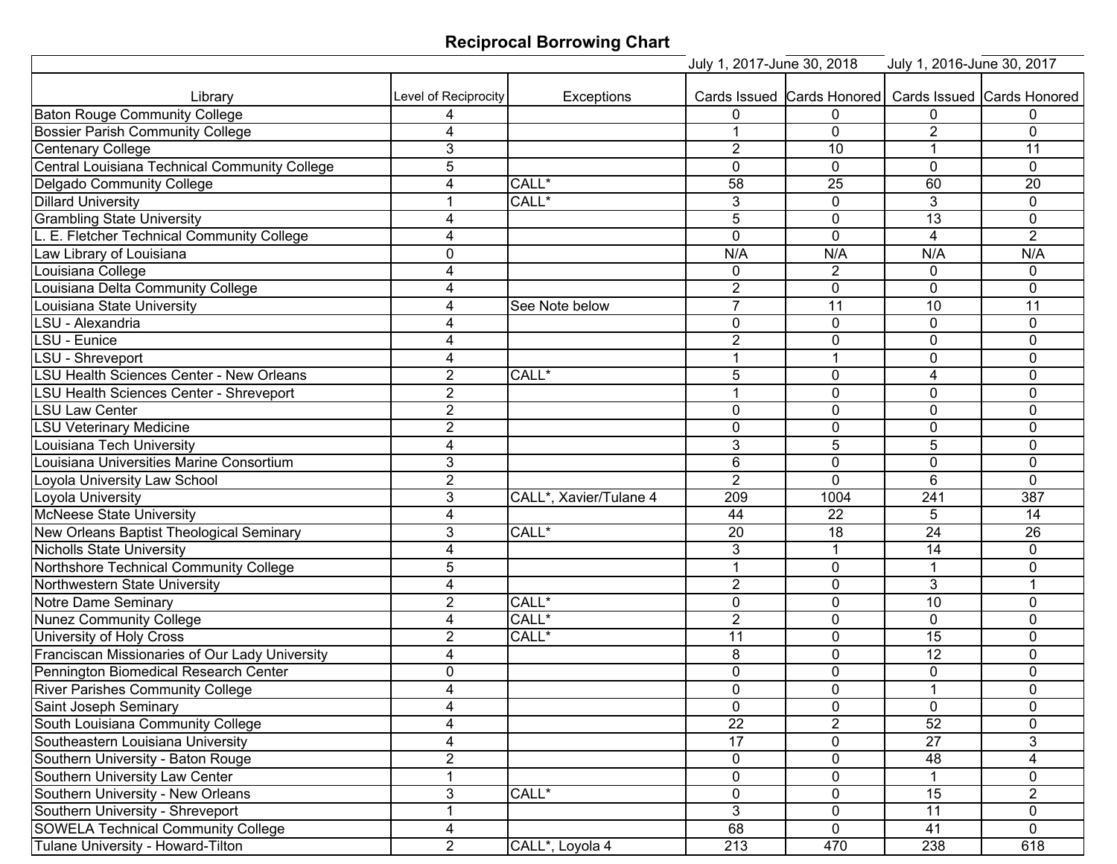## **Reciprocal Borrowing Chart**

|                                                 |                      |                        | July 1, 2017-June 30, 2018 |                | July 1, 2016-June 30, 2017 |                                                       |
|-------------------------------------------------|----------------------|------------------------|----------------------------|----------------|----------------------------|-------------------------------------------------------|
|                                                 |                      |                        |                            |                |                            |                                                       |
| Library                                         | Level of Reciprocity | <b>Exceptions</b>      |                            |                |                            | Cards Issued Cards Honored Cards Issued Cards Honored |
| <b>Baton Rouge Community College</b>            |                      |                        | 0                          | $\Omega$       | 0                          | 0                                                     |
| <b>Bossier Parish Community College</b>         | 4                    |                        |                            | $\mathbf 0$    | $\overline{2}$             | $\mathbf{0}$                                          |
| <b>Centenary College</b>                        | 3                    |                        | $\overline{2}$             | 10             |                            | 11                                                    |
| Central Louisiana Technical Community College   | 5                    |                        | $\mathbf 0$                | $\mathbf{0}$   | $\mathbf 0$                | $\mathbf{0}$                                          |
| Delgado Community College                       | 4                    | CALL*                  | $\overline{58}$            | 25             | 60                         | 20                                                    |
| <b>Dillard University</b>                       | 1                    | CALL*                  | 3                          | $\mathbf{0}$   | 3                          | $\mathbf{0}$                                          |
| <b>Grambling State University</b>               | 4                    |                        | 5                          | $\mathbf{0}$   | 13                         | $\mathbf{0}$                                          |
| L. E. Fletcher Technical Community College      | 4                    |                        | $\mathbf 0$                | $\mathbf 0$    | $\overline{4}$             | 2                                                     |
| Law Library of Louisiana                        | 0                    |                        | N/A                        | N/A            | N/A                        | N/A                                                   |
| Louisiana College                               | 4                    |                        | $\mathbf{0}$               | $\overline{2}$ | $\mathbf{0}$               | $\mathbf{0}$                                          |
| Louisiana Delta Community College               | 4                    |                        | $\overline{2}$             | $\mathbf 0$    | $\mathbf 0$                | $\mathbf 0$                                           |
| Louisiana State University                      | 4                    | See Note below         | $\overline{7}$             | 11             | 10                         | 11                                                    |
| LSU - Alexandria                                | 4                    |                        | $\mathbf 0$                | $\mathbf 0$    | $\mathbf 0$                | $\mathbf 0$                                           |
| LSU - Eunice                                    | 4                    |                        | $\overline{2}$             | 0              | $\mathbf 0$                | $\mathbf 0$                                           |
| LSU - Shreveport                                | 4                    |                        | 1                          | 1              | $\mathbf 0$                | $\mathbf{0}$                                          |
| <b>LSU Health Sciences Center - New Orleans</b> | $\overline{2}$       | CALL*                  | 5                          | $\mathbf{0}$   | 4                          | $\mathbf{0}$                                          |
| LSU Health Sciences Center - Shreveport         | $\overline{2}$       |                        | 1                          | $\mathbf 0$    | $\mathbf 0$                | $\mathbf 0$                                           |
| <b>LSU Law Center</b>                           | $\overline{2}$       |                        | $\mathbf{0}$               | $\mathbf 0$    | 0                          | $\mathbf{0}$                                          |
| <b>LSU Veterinary Medicine</b>                  | $\overline{2}$       |                        | $\mathbf 0$                | 0              | 0                          | $\mathbf{0}$                                          |
| ouisiana Tech University                        | 4                    |                        | 3                          | 5              | 5                          | $\mathbf{0}$                                          |
| Louisiana Universities Marine Consortium        | 3                    |                        | $6\phantom{1}$             | $\mathbf 0$    | $\mathbf 0$                | $\mathbf{0}$                                          |
| Loyola University Law School                    | $\overline{2}$       |                        | $\overline{2}$             | $\mathbf 0$    | $6\phantom{1}$             | $\mathbf{0}$                                          |
| Loyola University                               | 3                    | CALL*, Xavier/Tulane 4 | 209                        | 1004           | 241                        | 387                                                   |
| <b>McNeese State University</b>                 | 4                    |                        | 44                         | 22             | 5                          | 14                                                    |
| New Orleans Baptist Theological Seminary        | 3                    | CALL*                  | $\overline{20}$            | 18             | $\overline{24}$            | $\overline{26}$                                       |
| <b>Nicholls State University</b>                | 4                    |                        | 3                          | 1              | 14                         | $\mathbf{0}$                                          |
| Northshore Technical Community College          | 5                    |                        | 1                          | 0              | $\overline{ }$             | $\mathbf{0}$                                          |
| Northwestern State University                   | 4                    |                        | $\overline{2}$             | 0              | 3                          |                                                       |
| Notre Dame Seminary                             | $\overline{2}$       | CALL*                  | 0                          | $\Omega$       | 10                         | $\Omega$                                              |
| Nunez Community College                         | 4                    | CALL*                  | $\overline{2}$             | 0              | $\mathbf 0$                | $\mathbf 0$                                           |
| <b>University of Holy Cross</b>                 | $\overline{2}$       | CALL*                  | 11                         | $\Omega$       | 15                         | $\Omega$                                              |
| Franciscan Missionaries of Our Lady University  | 4                    |                        | 8                          | 0              | $\overline{12}$            | $\mathbf{0}$                                          |
| Pennington Biomedical Research Center           | 0                    |                        | $\overline{0}$             | $\overline{0}$ | $\overline{0}$             | $\mathbf 0$                                           |
| River Parishes Community College                | 4                    |                        | 0                          | $\overline{0}$ | $\mathbf 1$                | 0                                                     |
| Saint Joseph Seminary                           | 4                    |                        | $\mathbf 0$                | 0              | 0                          | $\mathbf{0}$                                          |
| South Louisiana Community College               | 4                    |                        | $\overline{22}$            | $\overline{2}$ | 52                         | 0                                                     |
| Southeastern Louisiana University               | 4                    |                        | $\overline{17}$            | 0              | $\overline{27}$            | 3                                                     |
| Southern University - Baton Rouge               | $\sqrt{2}$           |                        | 0                          | $\mathbf 0$    | 48                         | 4                                                     |
| Southern University Law Center                  | 1                    |                        | 0                          | $\pmb{0}$      |                            | 0                                                     |
| Southern University - New Orleans               | 3                    | CALL*                  | 0                          | $\mathbf 0$    | $\overline{15}$            | $\overline{2}$                                        |
| Southern University - Shreveport                | 1                    |                        | 3                          | $\mathbf 0$    | 11                         | 0                                                     |
| <b>SOWELA Technical Community College</b>       | 4                    |                        | 68                         | $\mathbf 0$    | 41                         | $\overline{0}$                                        |
| Tulane University - Howard-Tilton               | $\overline{2}$       | CALL*, Loyola 4        | $\overline{213}$           | 470            | 238                        | 618                                                   |
|                                                 |                      |                        |                            |                |                            |                                                       |